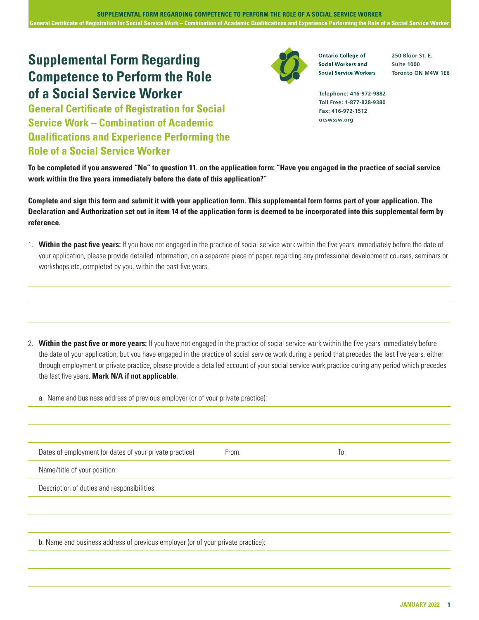## **Supplemental Form Regarding Competence to Perform the Role of a Social Service Worker**

**General Certificate of Registration for Social Service Work – Combination of Academic Qualifications and Experience Performing the Role of a Social Service Worker**



**Ontario College of Social Workers and Social Service Workers**  **250 Bloor St. E. Suite 1000 Toronto ON M4W 1E6**

**Telephone: 416-972-9882 Toll Free: 1-877-828-9380 Fax: 416-972-1512 ocswssw.org**

**To be completed if you answered "No" to question 11. on the application form: "Have you engaged in the practice of social service work within the five years immediately before the date of this application?"**

**Complete and sign this form and submit it with your application form. This supplemental form forms part of your application. The Declaration and Authorization set out in item 14 of the application form is deemed to be incorporated into this supplemental form by reference.**

1. **Within the past five years:** If you have not engaged in the practice of social service work within the five years immediately before the date of your application, please provide detailed information, on a separate piece of paper, regarding any professional development courses, seminars or workshops etc, completed by you, within the past five years.

2. **Within the past five or more years:** If you have not engaged in the practice of social service work within the five years immediately before the date of your application, but you have engaged in the practice of social service work during a period that precedes the last five years, either through employment or private practice, please provide a detailed account of your social service work practice during any period which precedes the last five years. **Mark N/A if not applicable**:

a. Name and business address of previous employer (or of your private practice):

| Dates of employment (or dates of your private practice): | From: | To: |
|----------------------------------------------------------|-------|-----|
| Name/title of your position:                             |       |     |
| Description of duties and responsibilities:              |       |     |
|                                                          |       |     |
|                                                          |       |     |
|                                                          |       |     |